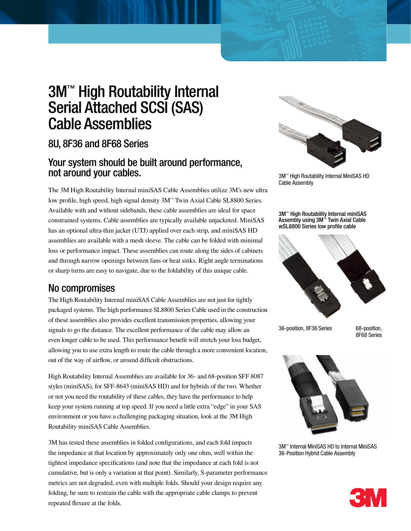# 3M™ High Routability Internal Serial Attached SCSI (SAS) Cable Assemblies

## 8U, 8F36 and 8F68 Series

## Your system should be built around performance, not around your cables.

The 3M High Routability Internal miniSAS Cable Assemblies utilize 3M's new ultra low profile, high speed, high signal density 3M™ Twin Axial Cable SL8800 Series. Available with and without sidebands, these cable assemblies are ideal for space constrained systems. Cable assemblies are typically available unjacketed. MiniSAS has an optional ultra-thin jacket (UTJ) applied over each strip, and miniSAS HD assemblies are available with a mesh sleeve. The cable can be folded with minimal loss or performance impact. These assemblies can route along the sides of cabinets and through narrow openings between fans or heat sinks. Right angle terminations or sharp turns are easy to navigate, due to the foldability of this unique cable.

## No compromises

The High Routability Internal miniSAS Cable Assemblies are not just for tightly packaged systems. The high performance SL8800 Series Cable used in the construction of these assemblies also provides excellent transmission properties, allowing your signals to go the distance. The excellent performance of the cable may allow an even longer cable to be used. This performance benefit will stretch your loss budget, allowing you to use extra length to route the cable through a more convenient location, out of the way of airflow, or around difficult obstructions.

High Routability Internal Assemblies are available for 36- and 68-position SFF 8087 styles (miniSAS), for SFF-8643 (miniSAS HD) and for hybrids of the two. Whether or not you need the routability of these cables, they have the performance to help keep your system running at top speed. If you need a little extra "edge" in your SAS environment or you have a challenging packaging situation, look at the 3M High Routability miniSAS Cable Assemblies.

3M has tested these assemblies in folded configurations, and each fold impacts the impedance at that location by approximately only one ohm, well within the tightest impedance specifications (and note that the impedance at each fold is not cumulative, but is only a variation at that point). Similarly, S-parameter performance metrics are not degraded, even with multiple folds. Should your design require any folding, be sure to restrain the cable with the appropriate cable clamps to prevent repeated flexure at the folds.



3M™ High Routability Internal MiniSAS HD Cable Assembly

3M™ High Routability Internal miniSAS Assembly using 3M™ Twin Axial Cable wSL8800 Series low profile cable



36-position, 8F36 Series 68-position,

8F68 Series



3M™ Internal MiniSAS HD to Internal MiniSAS 36-Position Hybrid Cable Assembly